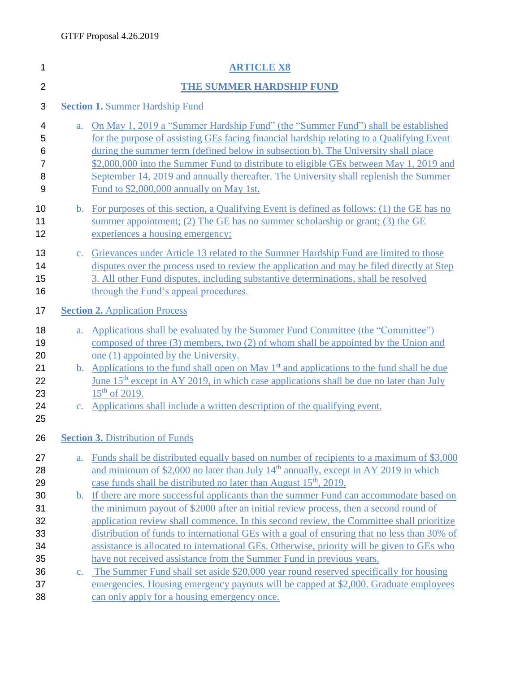| 1                                             |                | <b>ARTICLE X8</b>                                                                                                                                                                                                                                                                                                                                                                                                                                                                                  |
|-----------------------------------------------|----------------|----------------------------------------------------------------------------------------------------------------------------------------------------------------------------------------------------------------------------------------------------------------------------------------------------------------------------------------------------------------------------------------------------------------------------------------------------------------------------------------------------|
| $\overline{2}$                                |                | THE SUMMER HARDSHIP FUND                                                                                                                                                                                                                                                                                                                                                                                                                                                                           |
| 3                                             |                | <b>Section 1. Summer Hardship Fund</b>                                                                                                                                                                                                                                                                                                                                                                                                                                                             |
| 4<br>5<br>6<br>$\overline{7}$<br>8<br>9       | $a_{\cdot}$    | On May 1, 2019 a "Summer Hardship Fund" (the "Summer Fund") shall be established<br>for the purpose of assisting GEs facing financial hardship relating to a Qualifying Event<br>during the summer term (defined below in subsection b). The University shall place<br>\$2,000,000 into the Summer Fund to distribute to eligible GEs between May 1, 2019 and<br>September 14, 2019 and annually thereafter. The University shall replenish the Summer<br>Fund to \$2,000,000 annually on May 1st. |
| 10<br>11<br>12                                | $\mathbf{b}$ . | For purposes of this section, a Qualifying Event is defined as follows: (1) the GE has no<br>summer appointment; (2) The GE has no summer scholarship or grant; (3) the GE<br>experiences a housing emergency;                                                                                                                                                                                                                                                                                     |
| 13<br>14<br>15<br>16                          | $C_{\star}$    | Grievances under Article 13 related to the Summer Hardship Fund are limited to those<br>disputes over the process used to review the application and may be filed directly at Step<br>3. All other Fund disputes, including substantive determinations, shall be resolved<br>through the Fund's appeal procedures.                                                                                                                                                                                 |
| 17                                            |                | <b>Section 2. Application Process</b>                                                                                                                                                                                                                                                                                                                                                                                                                                                              |
| 18<br>19<br>20                                | $a_{\cdot}$    | Applications shall be evaluated by the Summer Fund Committee (the "Committee")<br>composed of three (3) members, two (2) of whom shall be appointed by the Union and<br>one (1) appointed by the University.                                                                                                                                                                                                                                                                                       |
| 21<br>22<br>23                                | $\mathbf{b}$ . | Applications to the fund shall open on May $1st$ and applications to the fund shall be due<br><u>June 15<sup>th</sup> except in AY 2019, in which case applications shall be due no later than July</u><br>$15^{th}$ of 2019.                                                                                                                                                                                                                                                                      |
| 24<br>25                                      | $C_{\star}$    | Applications shall include a written description of the qualifying event.                                                                                                                                                                                                                                                                                                                                                                                                                          |
| 26<br><b>Section 3. Distribution of Funds</b> |                |                                                                                                                                                                                                                                                                                                                                                                                                                                                                                                    |
| 27<br>28<br>29                                | a.             | Funds shall be distributed equally based on number of recipients to a maximum of \$3,000<br>and minimum of \$2,000 no later than July $14th$ annually, except in AY 2019 in which<br>case funds shall be distributed no later than August 15 <sup>th</sup> , 2019.                                                                                                                                                                                                                                 |
| 30<br>31<br>32<br>33                          | $\mathbf{b}$ . | If there are more successful applicants than the summer Fund can accommodate based on<br>the minimum payout of \$2000 after an initial review process, then a second round of<br>application review shall commence. In this second review, the Committee shall prioritize<br>distribution of funds to international GEs with a goal of ensuring that no less than 30% of                                                                                                                           |
| 34<br>35                                      |                | assistance is allocated to international GEs. Otherwise, priority will be given to GEs who<br>have not received assistance from the Summer Fund in previous years.                                                                                                                                                                                                                                                                                                                                 |
| 36<br>37<br>38                                | $\mathbf{c}$ . | The Summer Fund shall set aside \$20,000 year round reserved specifically for housing<br>emergencies. Housing emergency payouts will be capped at \$2,000. Graduate employees<br>can only apply for a housing emergency once.                                                                                                                                                                                                                                                                      |